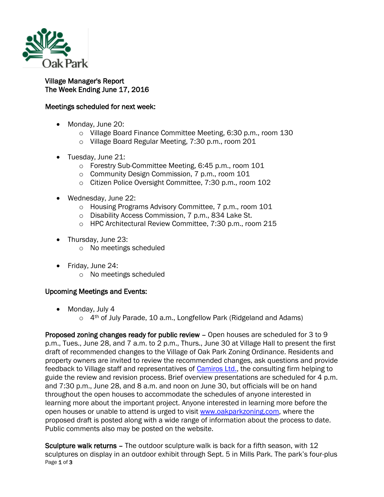

## Village Manager's Report The Week Ending June 17, 2016

## Meetings scheduled for next week:

- Monday, June 20:
	- o Village Board Finance Committee Meeting, 6:30 p.m., room 130
	- o Village Board Regular Meeting, 7:30 p.m., room 201
- Tuesday, June 21:
	- o Forestry Sub-Committee Meeting, 6:45 p.m., room 101
	- o Community Design Commission, 7 p.m., room 101
	- o Citizen Police Oversight Committee, 7:30 p.m., room 102
- Wednesday, June 22:
	- o Housing Programs Advisory Committee, 7 p.m., room 101
	- o Disability Access Commission, 7 p.m., 834 Lake St.
	- o HPC Architectural Review Committee, 7:30 p.m., room 215
- Thursday, June 23:
	- o No meetings scheduled
- Friday, June 24:
	- o No meetings scheduled

## Upcoming Meetings and Events:

- Monday, July 4
	- o 4<sup>th</sup> of July Parade, 10 a.m., Longfellow Park (Ridgeland and Adams)

Proposed zoning changes ready for public review – Open houses are scheduled for 3 to 9 p.m., Tues., June 28, and 7 a.m. to 2 p.m., Thurs., June 30 at Village Hall to present the first draft of recommended changes to the Village of Oak Park Zoning Ordinance. Residents and property owners are invited to review the recommended changes, ask questions and provide feedback to Village staff and representatives of [Camiros Ltd.,](http://www.camiros.com/) the consulting firm helping to guide the review and revision process. Brief overview presentations are scheduled for 4 p.m. and 7:30 p.m., June 28, and 8 a.m. and noon on June 30, but officials will be on hand throughout the open houses to accommodate the schedules of anyone interested in learning more about the important project. Anyone interested in learning more before the open houses or unable to attend is urged to visit [www.oakparkzoning.com,](http://www.oakparkzoning.com/) where the proposed draft is posted along with a wide range of information about the process to date. Public comments also may be posted on the website.

Page 1 of 3 Sculpture walk returns – The outdoor sculpture walk is back for a fifth season, with 12 sculptures on display in an outdoor exhibit through Sept. 5 in Mills Park. The park's four-plus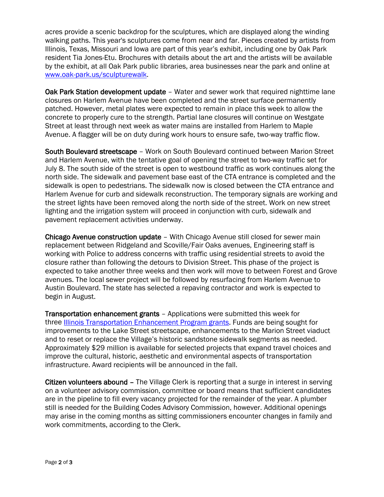acres provide a scenic backdrop for the sculptures, which are displayed along the winding walking paths. This year's sculptures come from near and far. Pieces created by artists from Illinois, Texas, Missouri and Iowa are part of this year's exhibit, including one by Oak Park resident Tia Jones-Etu. Brochures with details about the art and the artists will be available by the exhibit, at all Oak Park public libraries, area businesses near the park and online at [www.oak-park.us/sculpturewalk.](http://www.oak-park.us/sculpturewalk)

Oak Park Station development update - Water and sewer work that required nighttime lane closures on Harlem Avenue have been completed and the street surface permanently patched. However, metal plates were expected to remain in place this week to allow the concrete to properly cure to the strength. Partial lane closures will continue on Westgate Street at least through next week as water mains are installed from Harlem to Maple Avenue. A flagger will be on duty during work hours to ensure safe, two-way traffic flow.

South Boulevard streetscape – Work on South Boulevard continued between Marion Street and Harlem Avenue, with the tentative goal of opening the street to two-way traffic set for July 8. The south side of the street is open to westbound traffic as work continues along the north side. The sidewalk and pavement base east of the CTA entrance is completed and the sidewalk is open to pedestrians. The sidewalk now is closed between the CTA entrance and Harlem Avenue for curb and sidewalk reconstruction. The temporary signals are working and the street lights have been removed along the north side of the street. Work on new street lighting and the irrigation system will proceed in conjunction with curb, sidewalk and pavement replacement activities underway.

Chicago Avenue construction update – With Chicago Avenue still closed for sewer main replacement between Ridgeland and Scoville/Fair Oaks avenues, Engineering staff is working with Police to address concerns with traffic using residential streets to avoid the closure rather than following the detours to Division Street. This phase of the project is expected to take another three weeks and then work will move to between Forest and Grove avenues. The local sewer project will be followed by resurfacing from Harlem Avenue to Austin Boulevard. The state has selected a repaving contractor and work is expected to begin in August.

Transportation enhancement grants – Applications were submitted this week for three [Illinois Transportation Enhancement Program grants.](http://www.idot.illinois.gov/transportation-system/local-transportation-partners/county-engineers-and-local-public-agencies/funding-opportunities/ITEP) Funds are being sought for improvements to the Lake Street streetscape, enhancements to the Marion Street viaduct and to reset or replace the Village's historic sandstone sidewalk segments as needed. Approximately \$29 million is available for selected projects that expand travel choices and improve the cultural, historic, aesthetic and environmental aspects of transportation infrastructure. Award recipients will be announced in the fall.

Citizen volunteers abound – The Village Clerk is reporting that a surge in interest in serving on a volunteer advisory commission, committee or board means that sufficient candidates are in the pipeline to fill every vacancy projected for the remainder of the year. A plumber still is needed for the Building Codes Advisory Commission, however. Additional openings may arise in the coming months as sitting commissioners encounter changes in family and work commitments, according to the Clerk.